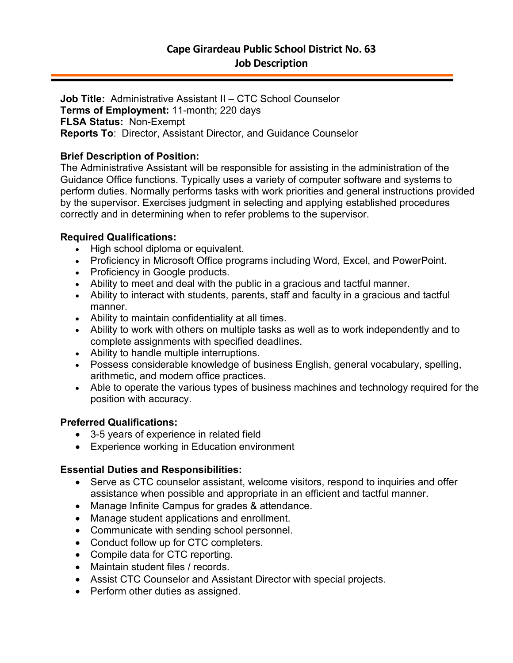**Job Title:** Administrative Assistant II – CTC School Counselor **Terms of Employment:** 11-month; 220 days **FLSA Status:** Non-Exempt **Reports To**: Director, Assistant Director, and Guidance Counselor

# **Brief Description of Position:**

The Administrative Assistant will be responsible for assisting in the administration of the Guidance Office functions. Typically uses a variety of computer software and systems to perform duties. Normally performs tasks with work priorities and general instructions provided by the supervisor. Exercises judgment in selecting and applying established procedures correctly and in determining when to refer problems to the supervisor.

## **Required Qualifications:**

- High school diploma or equivalent.
- Proficiency in Microsoft Office programs including Word, Excel, and PowerPoint.
- Proficiency in Google products.
- Ability to meet and deal with the public in a gracious and tactful manner.
- Ability to interact with students, parents, staff and faculty in a gracious and tactful manner.
- Ability to maintain confidentiality at all times.
- Ability to work with others on multiple tasks as well as to work independently and to complete assignments with specified deadlines.
- Ability to handle multiple interruptions.
- Possess considerable knowledge of business English, general vocabulary, spelling, arithmetic, and modern office practices.
- Able to operate the various types of business machines and technology required for the position with accuracy.

## **Preferred Qualifications:**

- 3-5 years of experience in related field
- Experience working in Education environment

## **Essential Duties and Responsibilities:**

- Serve as CTC counselor assistant, welcome visitors, respond to inquiries and offer assistance when possible and appropriate in an efficient and tactful manner.
- Manage Infinite Campus for grades & attendance.
- Manage student applications and enrollment.
- Communicate with sending school personnel.
- Conduct follow up for CTC completers.
- Compile data for CTC reporting.
- Maintain student files / records.
- Assist CTC Counselor and Assistant Director with special projects.
- Perform other duties as assigned.